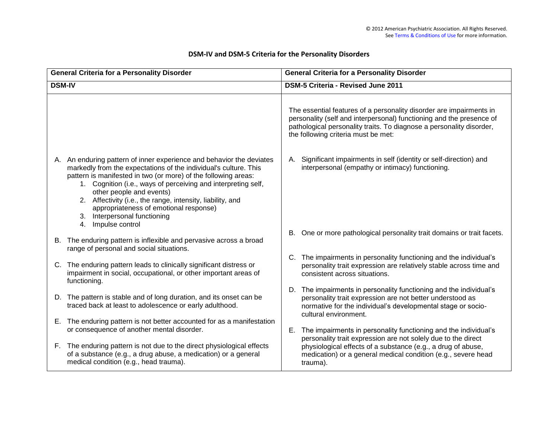| <b>General Criteria for a Personality Disorder</b> |                                                                                                                                                                                                                                                                                                                                                                                                                                                                       | <b>General Criteria for a Personality Disorder</b>                                                                                                                                                                                                         |  |  |  |  |
|----------------------------------------------------|-----------------------------------------------------------------------------------------------------------------------------------------------------------------------------------------------------------------------------------------------------------------------------------------------------------------------------------------------------------------------------------------------------------------------------------------------------------------------|------------------------------------------------------------------------------------------------------------------------------------------------------------------------------------------------------------------------------------------------------------|--|--|--|--|
| <b>DSM-IV</b>                                      |                                                                                                                                                                                                                                                                                                                                                                                                                                                                       | <b>DSM-5 Criteria - Revised June 2011</b>                                                                                                                                                                                                                  |  |  |  |  |
|                                                    |                                                                                                                                                                                                                                                                                                                                                                                                                                                                       |                                                                                                                                                                                                                                                            |  |  |  |  |
|                                                    |                                                                                                                                                                                                                                                                                                                                                                                                                                                                       | The essential features of a personality disorder are impairments in<br>personality (self and interpersonal) functioning and the presence of<br>pathological personality traits. To diagnose a personality disorder,<br>the following criteria must be met: |  |  |  |  |
|                                                    | A. An enduring pattern of inner experience and behavior the deviates<br>markedly from the expectations of the individual's culture. This<br>pattern is manifested in two (or more) of the following areas:<br>1. Cognition (i.e., ways of perceiving and interpreting self,<br>other people and events)<br>2. Affectivity (i.e., the range, intensity, liability, and<br>appropriateness of emotional response)<br>3. Interpersonal functioning<br>4. Impulse control | A. Significant impairments in self (identity or self-direction) and<br>interpersonal (empathy or intimacy) functioning.                                                                                                                                    |  |  |  |  |
|                                                    |                                                                                                                                                                                                                                                                                                                                                                                                                                                                       | B. One or more pathological personality trait domains or trait facets.                                                                                                                                                                                     |  |  |  |  |
|                                                    | B. The enduring pattern is inflexible and pervasive across a broad<br>range of personal and social situations.                                                                                                                                                                                                                                                                                                                                                        |                                                                                                                                                                                                                                                            |  |  |  |  |
|                                                    | C. The enduring pattern leads to clinically significant distress or<br>impairment in social, occupational, or other important areas of<br>functioning.                                                                                                                                                                                                                                                                                                                | C. The impairments in personality functioning and the individual's<br>personality trait expression are relatively stable across time and<br>consistent across situations.                                                                                  |  |  |  |  |
|                                                    | D. The pattern is stable and of long duration, and its onset can be                                                                                                                                                                                                                                                                                                                                                                                                   | D. The impairments in personality functioning and the individual's<br>personality trait expression are not better understood as                                                                                                                            |  |  |  |  |
|                                                    | traced back at least to adolescence or early adulthood.                                                                                                                                                                                                                                                                                                                                                                                                               | normative for the individual's developmental stage or socio-<br>cultural environment.                                                                                                                                                                      |  |  |  |  |
|                                                    | E. The enduring pattern is not better accounted for as a manifestation<br>or consequence of another mental disorder.                                                                                                                                                                                                                                                                                                                                                  | E. The impairments in personality functioning and the individual's                                                                                                                                                                                         |  |  |  |  |
|                                                    | F. The enduring pattern is not due to the direct physiological effects<br>of a substance (e.g., a drug abuse, a medication) or a general<br>medical condition (e.g., head trauma).                                                                                                                                                                                                                                                                                    | personality trait expression are not solely due to the direct<br>physiological effects of a substance (e.g., a drug of abuse,<br>medication) or a general medical condition (e.g., severe head<br>trauma).                                                 |  |  |  |  |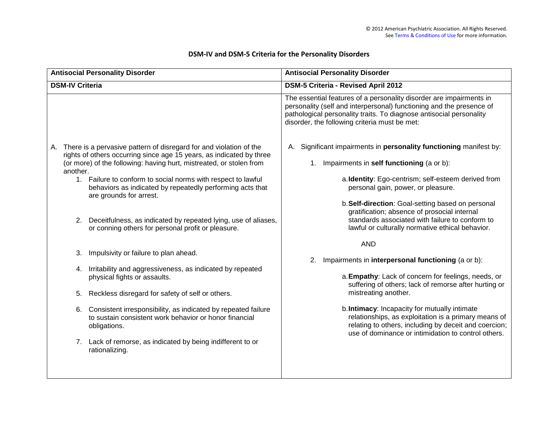|                        | <b>Antisocial Personality Disorder</b>                                                                                                                                                                               | <b>Antisocial Personality Disorder</b>                                                                                                                                                                                                                              |
|------------------------|----------------------------------------------------------------------------------------------------------------------------------------------------------------------------------------------------------------------|---------------------------------------------------------------------------------------------------------------------------------------------------------------------------------------------------------------------------------------------------------------------|
| <b>DSM-IV Criteria</b> |                                                                                                                                                                                                                      | DSM-5 Criteria - Revised April 2012                                                                                                                                                                                                                                 |
|                        |                                                                                                                                                                                                                      | The essential features of a personality disorder are impairments in<br>personality (self and interpersonal) functioning and the presence of<br>pathological personality traits. To diagnose antisocial personality<br>disorder, the following criteria must be met: |
| another.               | A. There is a pervasive pattern of disregard for and violation of the<br>rights of others occurring since age 15 years, as indicated by three<br>(or more) of the following: having hurt, mistreated, or stolen from | A. Significant impairments in personality functioning manifest by:<br>Impairments in self functioning (a or b):<br>1.                                                                                                                                               |
|                        | 1. Failure to conform to social norms with respect to lawful<br>behaviors as indicated by repeatedly performing acts that<br>are grounds for arrest.                                                                 | a. Identity: Ego-centrism; self-esteem derived from<br>personal gain, power, or pleasure.                                                                                                                                                                           |
| 2.                     | Deceitfulness, as indicated by repeated lying, use of aliases,<br>or conning others for personal profit or pleasure.                                                                                                 | b. Self-direction: Goal-setting based on personal<br>gratification; absence of prosocial internal<br>standards associated with failure to conform to<br>lawful or culturally normative ethical behavior.                                                            |
|                        |                                                                                                                                                                                                                      | <b>AND</b>                                                                                                                                                                                                                                                          |
| 3.                     | Impulsivity or failure to plan ahead.                                                                                                                                                                                | Impairments in interpersonal functioning (a or b):<br>2.                                                                                                                                                                                                            |
|                        | 4. Irritability and aggressiveness, as indicated by repeated<br>physical fights or assaults.                                                                                                                         | a. Empathy: Lack of concern for feelings, needs, or<br>suffering of others; lack of remorse after hurting or                                                                                                                                                        |
| 5.                     | Reckless disregard for safety of self or others.                                                                                                                                                                     | mistreating another.                                                                                                                                                                                                                                                |
| 6.                     | Consistent irresponsibility, as indicated by repeated failure<br>to sustain consistent work behavior or honor financial<br>obligations.                                                                              | b. Intimacy: Incapacity for mutually intimate<br>relationships, as exploitation is a primary means of<br>relating to others, including by deceit and coercion;<br>use of dominance or intimidation to control others.                                               |
|                        | 7. Lack of remorse, as indicated by being indifferent to or<br>rationalizing.                                                                                                                                        |                                                                                                                                                                                                                                                                     |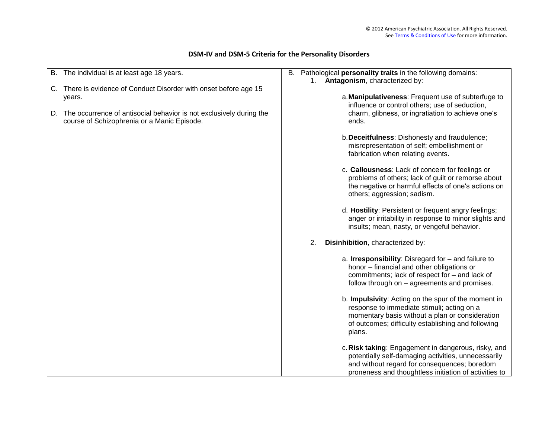|    | B. The individual is at least age 18 years.                                                                        |    | B. Pathological personality traits in the following domains:                                                                                                                                                         |
|----|--------------------------------------------------------------------------------------------------------------------|----|----------------------------------------------------------------------------------------------------------------------------------------------------------------------------------------------------------------------|
|    | C. There is evidence of Conduct Disorder with onset before age 15                                                  | 1. | Antagonism, characterized by:                                                                                                                                                                                        |
|    | years.                                                                                                             |    | a. Manipulativeness: Frequent use of subterfuge to<br>influence or control others; use of seduction,                                                                                                                 |
| D. | The occurrence of antisocial behavior is not exclusively during the<br>course of Schizophrenia or a Manic Episode. |    | charm, glibness, or ingratiation to achieve one's<br>ends.                                                                                                                                                           |
|    |                                                                                                                    |    | b. Deceitfulness: Dishonesty and fraudulence;<br>misrepresentation of self; embellishment or<br>fabrication when relating events.                                                                                    |
|    |                                                                                                                    |    | c. Callousness: Lack of concern for feelings or<br>problems of others; lack of guilt or remorse about<br>the negative or harmful effects of one's actions on<br>others; aggression; sadism.                          |
|    |                                                                                                                    |    | d. Hostility: Persistent or frequent angry feelings;<br>anger or irritability in response to minor slights and<br>insults; mean, nasty, or vengeful behavior.                                                        |
|    |                                                                                                                    | 2. | Disinhibition, characterized by:                                                                                                                                                                                     |
|    |                                                                                                                    |    | a. Irresponsibility: Disregard for - and failure to<br>honor - financial and other obligations or<br>commitments; lack of respect for - and lack of<br>follow through on - agreements and promises.                  |
|    |                                                                                                                    |    | b. Impulsivity: Acting on the spur of the moment in<br>response to immediate stimuli; acting on a<br>momentary basis without a plan or consideration<br>of outcomes; difficulty establishing and following<br>plans. |
|    |                                                                                                                    |    | c. Risk taking: Engagement in dangerous, risky, and<br>potentially self-damaging activities, unnecessarily<br>and without regard for consequences; boredom<br>proneness and thoughtless initiation of activities to  |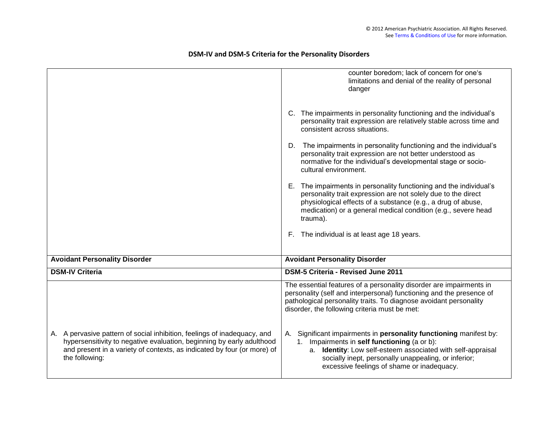|                                                                                                                                                                                                                                                | counter boredom; lack of concern for one's<br>limitations and denial of the reality of personal<br>danger                                                                                                                                                                               |
|------------------------------------------------------------------------------------------------------------------------------------------------------------------------------------------------------------------------------------------------|-----------------------------------------------------------------------------------------------------------------------------------------------------------------------------------------------------------------------------------------------------------------------------------------|
|                                                                                                                                                                                                                                                | C. The impairments in personality functioning and the individual's<br>personality trait expression are relatively stable across time and<br>consistent across situations.                                                                                                               |
|                                                                                                                                                                                                                                                | D. The impairments in personality functioning and the individual's<br>personality trait expression are not better understood as<br>normative for the individual's developmental stage or socio-<br>cultural environment.                                                                |
|                                                                                                                                                                                                                                                | E. The impairments in personality functioning and the individual's<br>personality trait expression are not solely due to the direct<br>physiological effects of a substance (e.g., a drug of abuse,<br>medication) or a general medical condition (e.g., severe head<br>trauma).        |
|                                                                                                                                                                                                                                                | F. The individual is at least age 18 years.                                                                                                                                                                                                                                             |
| <b>Avoidant Personality Disorder</b>                                                                                                                                                                                                           | <b>Avoidant Personality Disorder</b>                                                                                                                                                                                                                                                    |
| <b>DSM-IV Criteria</b>                                                                                                                                                                                                                         | DSM-5 Criteria - Revised June 2011                                                                                                                                                                                                                                                      |
|                                                                                                                                                                                                                                                | The essential features of a personality disorder are impairments in<br>personality (self and interpersonal) functioning and the presence of<br>pathological personality traits. To diagnose avoidant personality<br>disorder, the following criteria must be met:                       |
| A. A pervasive pattern of social inhibition, feelings of inadequacy, and<br>hypersensitivity to negative evaluation, beginning by early adulthood<br>and present in a variety of contexts, as indicated by four (or more) of<br>the following: | A. Significant impairments in personality functioning manifest by:<br>1. Impairments in self functioning (a or b):<br>a. Identity: Low self-esteem associated with self-appraisal<br>socially inept, personally unappealing, or inferior;<br>excessive feelings of shame or inadequacy. |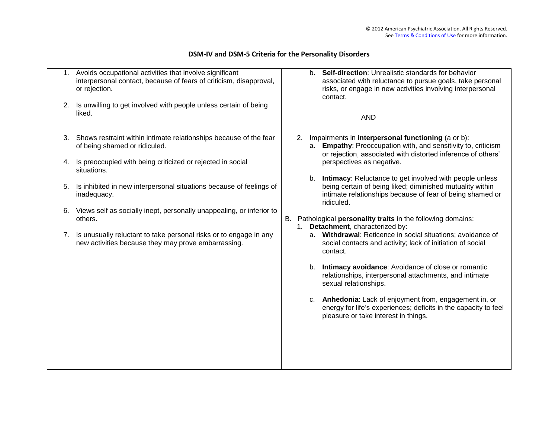| 2. | Avoids occupational activities that involve significant<br>interpersonal contact, because of fears of criticism, disapproval,<br>or rejection.<br>Is unwilling to get involved with people unless certain of being |  |    |                                                                                                                                      | <b>Self-direction: Unrealistic standards for behavior</b><br>b <sub>1</sub><br>associated with reluctance to pursue goals, take personal<br>risks, or engage in new activities involving interpersonal<br>contact. |
|----|--------------------------------------------------------------------------------------------------------------------------------------------------------------------------------------------------------------------|--|----|--------------------------------------------------------------------------------------------------------------------------------------|--------------------------------------------------------------------------------------------------------------------------------------------------------------------------------------------------------------------|
|    | liked.                                                                                                                                                                                                             |  |    |                                                                                                                                      | <b>AND</b>                                                                                                                                                                                                         |
| 3. | Shows restraint within intimate relationships because of the fear<br>of being shamed or ridiculed.                                                                                                                 |  | 2. |                                                                                                                                      | Impairments in interpersonal functioning (a or b):<br>Empathy: Preoccupation with, and sensitivity to, criticism<br>a.<br>or rejection, associated with distorted inference of others'                             |
| 4. | Is preoccupied with being criticized or rejected in social<br>situations.                                                                                                                                          |  |    |                                                                                                                                      | perspectives as negative.<br>Intimacy: Reluctance to get involved with people unless<br>b.                                                                                                                         |
| 5. | Is inhibited in new interpersonal situations because of feelings of<br>inadequacy.                                                                                                                                 |  |    | being certain of being liked; diminished mutuality within<br>intimate relationships because of fear of being shamed or<br>ridiculed. |                                                                                                                                                                                                                    |
|    | 6. Views self as socially inept, personally unappealing, or inferior to<br>others.                                                                                                                                 |  |    | B. Pathological personality traits in the following domains:<br>1. Detachment, characterized by:                                     |                                                                                                                                                                                                                    |
| 7. | Is unusually reluctant to take personal risks or to engage in any<br>new activities because they may prove embarrassing.                                                                                           |  |    |                                                                                                                                      | a. Withdrawal: Reticence in social situations; avoidance of<br>social contacts and activity; lack of initiation of social<br>contact.                                                                              |
|    |                                                                                                                                                                                                                    |  |    |                                                                                                                                      | b. Intimacy avoidance: Avoidance of close or romantic<br>relationships, interpersonal attachments, and intimate<br>sexual relationships.                                                                           |
|    |                                                                                                                                                                                                                    |  |    |                                                                                                                                      | c. Anhedonia: Lack of enjoyment from, engagement in, or<br>energy for life's experiences; deficits in the capacity to feel<br>pleasure or take interest in things.                                                 |
|    |                                                                                                                                                                                                                    |  |    |                                                                                                                                      |                                                                                                                                                                                                                    |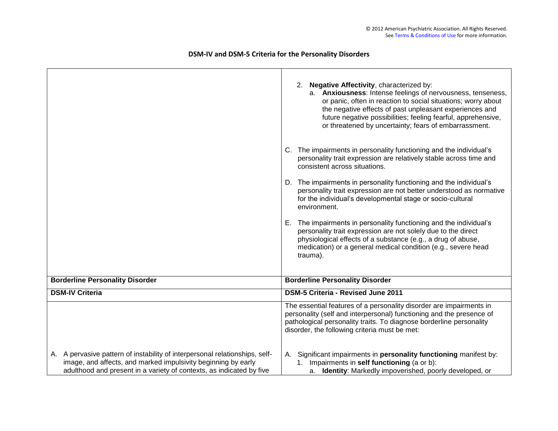# 2. **Negative Affectivity**, characterized by: a. **Anxiousness**: Intense feelings of nervousness, tenseness, or panic, often in reaction to social situations; worry about the negative effects of past unpleasant experiences and future negative possibilities; feeling fearful, apprehensive, or threatened by uncertainty; fears of embarrassment. C. The impairments in personality functioning and the individual"s personality trait expression are relatively stable across time and consistent across situations. D. The impairments in personality functioning and the individual's personality trait expression are not better understood as normative for the individual"s developmental stage or socio-cultural environment. E. The impairments in personality functioning and the individual"s personality trait expression are not solely due to the direct physiological effects of a substance (e.g., a drug of abuse, medication) or a general medical condition (e.g., severe head trauma). **Borderline Personality Disorder Borderline Personality Disorder DSM-IV Criteria DSM-5 Criteria - Revised June 2011** A. A pervasive pattern of instability of interpersonal relationships, selfimage, and affects, and marked impulsivity beginning by early adulthood and present in a variety of contexts, as indicated by five The essential features of a personality disorder are impairments in personality (self and interpersonal) functioning and the presence of pathological personality traits. To diagnose borderline personality disorder, the following criteria must be met: A. Significant impairments in **personality functioning** manifest by: 1. Impairments in **self functioning** (a or b): a. **Identity**: Markedly impoverished, poorly developed, or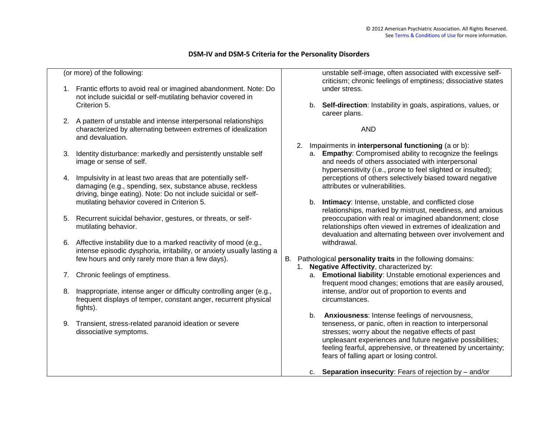(or more) of the following:

- 1. Frantic efforts to avoid real or imagined abandonment. Note: Do not include suicidal or self-mutilating behavior covered in Criterion 5.
- 2. A pattern of unstable and intense interpersonal relationships characterized by alternating between extremes of idealization and devaluation.
- 3. Identity disturbance: markedly and persistently unstable self image or sense of self.
- 4. Impulsivity in at least two areas that are potentially selfdamaging (e.g., spending, sex, substance abuse, reckless driving, binge eating). Note: Do not include suicidal or selfmutilating behavior covered in Criterion 5.
- 5. Recurrent suicidal behavior, gestures, or threats, or selfmutilating behavior.
- 6. Affective instability due to a marked reactivity of mood (e.g., intense episodic dysphoria, irritability, or anxiety usually lasting a few hours and only rarely more than a few days).
- 7. Chronic feelings of emptiness.
- 8. Inappropriate, intense anger or difficulty controlling anger (e.g., frequent displays of temper, constant anger, recurrent physical fights).
- 9. Transient, stress-related paranoid ideation or severe dissociative symptoms.

unstable self-image, often associated with excessive selfcriticism; chronic feelings of emptiness; dissociative states under stress.

b. **Self-direction**: Instability in goals, aspirations, values, or career plans.

AND

- 2. Impairments in **interpersonal functioning** (a or b):
	- a. **Empathy**: Compromised ability to recognize the feelings and needs of others associated with interpersonal hypersensitivity (i.e., prone to feel slighted or insulted); perceptions of others selectively biased toward negative attributes or vulnerabilities.
	- b. **Intimacy**: Intense, unstable, and conflicted close relationships, marked by mistrust, neediness, and anxious preoccupation with real or imagined abandonment; close relationships often viewed in extremes of idealization and devaluation and alternating between over involvement and withdrawal.
- B. Pathological **personality traits** in the following domains:
	- 1. **Negative Affectivity**, characterized by:
		- a. **Emotional liability**: Unstable emotional experiences and frequent mood changes; emotions that are easily aroused, intense, and/or out of proportion to events and circumstances.
		- b. **Anxiousness**: Intense feelings of nervousness, tenseness, or panic, often in reaction to interpersonal stresses; worry about the negative effects of past unpleasant experiences and future negative possibilities; feeling fearful, apprehensive, or threatened by uncertainty; fears of falling apart or losing control.
		- c. **Separation insecurity**: Fears of rejection by and/or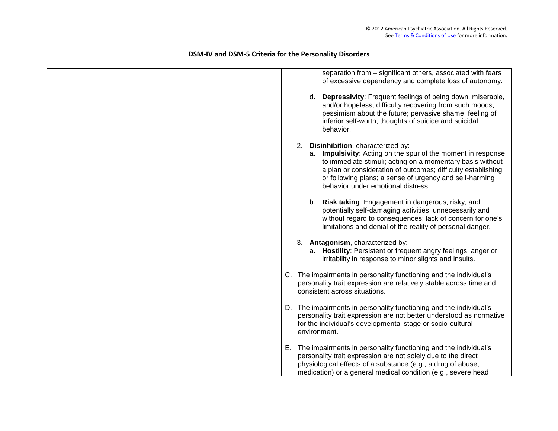# separation from – significant others, associated with fears of excessive dependency and complete loss of autonomy. d. **Depressivity**: Frequent feelings of being down, miserable, and/or hopeless; difficulty recovering from such moods; pessimism about the future; pervasive shame; feeling of inferior self-worth; thoughts of suicide and suicidal behavior. 2. **Disinhibition**, characterized by: a. **Impulsivity**: Acting on the spur of the moment in response to immediate stimuli; acting on a momentary basis without a plan or consideration of outcomes; difficulty establishing or following plans; a sense of urgency and self-harming behavior under emotional distress. b. **Risk taking**: Engagement in dangerous, risky, and potentially self-damaging activities, unnecessarily and without regard to consequences; lack of concern for one's limitations and denial of the reality of personal danger. 3. **Antagonism**, characterized by: a. **Hostility**: Persistent or frequent angry feelings; anger or irritability in response to minor slights and insults. C. The impairments in personality functioning and the individual"s personality trait expression are relatively stable across time and consistent across situations. D. The impairments in personality functioning and the individual's personality trait expression are not better understood as normative for the individual"s developmental stage or socio-cultural environment. E. The impairments in personality functioning and the individual"s personality trait expression are not solely due to the direct physiological effects of a substance (e.g., a drug of abuse, medication) or a general medical condition (e.g., severe head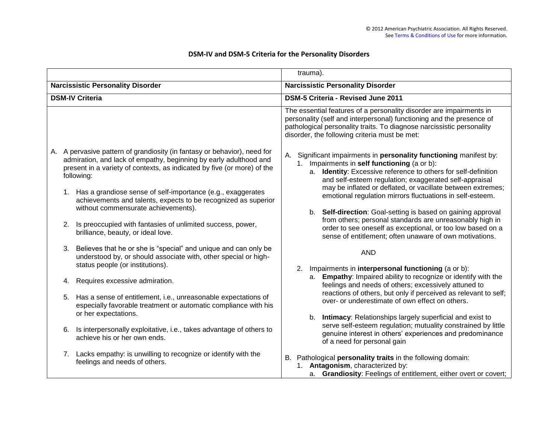|                                                                                                                                                                           | trauma).                                                                                                                                                                                                                                                              |  |  |  |  |  |
|---------------------------------------------------------------------------------------------------------------------------------------------------------------------------|-----------------------------------------------------------------------------------------------------------------------------------------------------------------------------------------------------------------------------------------------------------------------|--|--|--|--|--|
| <b>Narcissistic Personality Disorder</b>                                                                                                                                  | <b>Narcissistic Personality Disorder</b>                                                                                                                                                                                                                              |  |  |  |  |  |
| <b>DSM-IV Criteria</b>                                                                                                                                                    | <b>DSM-5 Criteria - Revised June 2011</b>                                                                                                                                                                                                                             |  |  |  |  |  |
| A. A pervasive pattern of grandiosity (in fantasy or behavior), need for                                                                                                  | The essential features of a personality disorder are impairments in<br>personality (self and interpersonal) functioning and the presence of<br>pathological personality traits. To diagnose narcissistic personality<br>disorder, the following criteria must be met: |  |  |  |  |  |
| admiration, and lack of empathy, beginning by early adulthood and<br>present in a variety of contexts, as indicated by five (or more) of the<br>following:                | A. Significant impairments in <b>personality functioning</b> manifest by:<br>1. Impairments in self functioning (a or b):<br>a. Identity: Excessive reference to others for self-definition<br>and self-esteem regulation; exaggerated self-appraisal                 |  |  |  |  |  |
| 1. Has a grandiose sense of self-importance (e.g., exaggerates<br>achievements and talents, expects to be recognized as superior<br>without commensurate achievements).   | may be inflated or deflated, or vacillate between extremes;<br>emotional regulation mirrors fluctuations in self-esteem.<br>b. Self-direction: Goal-setting is based on gaining approval                                                                              |  |  |  |  |  |
| 2. Is preoccupied with fantasies of unlimited success, power,<br>brilliance, beauty, or ideal love.                                                                       | from others; personal standards are unreasonably high in<br>order to see oneself as exceptional, or too low based on a<br>sense of entitlement; often unaware of own motivations.                                                                                     |  |  |  |  |  |
| 3. Believes that he or she is "special" and unique and can only be<br>understood by, or should associate with, other special or high-<br>status people (or institutions). | <b>AND</b><br>2. Impairments in interpersonal functioning (a or b):                                                                                                                                                                                                   |  |  |  |  |  |
| Requires excessive admiration.<br>4.                                                                                                                                      | a. Empathy: Impaired ability to recognize or identify with the<br>feelings and needs of others; excessively attuned to                                                                                                                                                |  |  |  |  |  |
| Has a sense of entitlement, i.e., unreasonable expectations of<br>5.<br>especially favorable treatment or automatic compliance with his<br>or her expectations.           | reactions of others, but only if perceived as relevant to self;<br>over- or underestimate of own effect on others.                                                                                                                                                    |  |  |  |  |  |
| Is interpersonally exploitative, i.e., takes advantage of others to<br>6.<br>achieve his or her own ends.                                                                 | b. Intimacy: Relationships largely superficial and exist to<br>serve self-esteem regulation; mutuality constrained by little<br>genuine interest in others' experiences and predominance<br>of a need for personal gain                                               |  |  |  |  |  |
| 7. Lacks empathy: is unwilling to recognize or identify with the<br>feelings and needs of others.                                                                         | B. Pathological personality traits in the following domain:<br>1. Antagonism, characterized by:<br>a. Grandiosity: Feelings of entitlement, either overt or covert;                                                                                                   |  |  |  |  |  |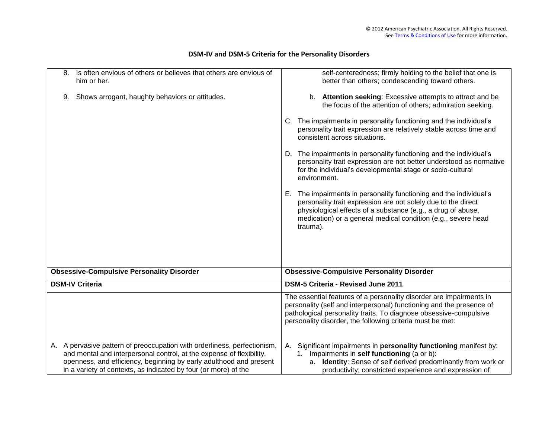| Is often envious of others or believes that others are envious of<br>8.<br>him or her.                                                                                                                                                                                                    | self-centeredness; firmly holding to the belief that one is<br>better than others; condescending toward others.                                                                                                                                                                     |
|-------------------------------------------------------------------------------------------------------------------------------------------------------------------------------------------------------------------------------------------------------------------------------------------|-------------------------------------------------------------------------------------------------------------------------------------------------------------------------------------------------------------------------------------------------------------------------------------|
| Shows arrogant, haughty behaviors or attitudes.<br>9.                                                                                                                                                                                                                                     | b. Attention seeking: Excessive attempts to attract and be<br>the focus of the attention of others; admiration seeking.                                                                                                                                                             |
|                                                                                                                                                                                                                                                                                           | C. The impairments in personality functioning and the individual's<br>personality trait expression are relatively stable across time and<br>consistent across situations.                                                                                                           |
|                                                                                                                                                                                                                                                                                           | D. The impairments in personality functioning and the individual's<br>personality trait expression are not better understood as normative<br>for the individual's developmental stage or socio-cultural<br>environment.                                                             |
|                                                                                                                                                                                                                                                                                           | The impairments in personality functioning and the individual's<br>Е.<br>personality trait expression are not solely due to the direct<br>physiological effects of a substance (e.g., a drug of abuse,<br>medication) or a general medical condition (e.g., severe head<br>trauma). |
| <b>Obsessive-Compulsive Personality Disorder</b>                                                                                                                                                                                                                                          | <b>Obsessive-Compulsive Personality Disorder</b>                                                                                                                                                                                                                                    |
| <b>DSM-IV Criteria</b>                                                                                                                                                                                                                                                                    | DSM-5 Criteria - Revised June 2011                                                                                                                                                                                                                                                  |
|                                                                                                                                                                                                                                                                                           | The essential features of a personality disorder are impairments in<br>personality (self and interpersonal) functioning and the presence of<br>pathological personality traits. To diagnose obsessive-compulsive<br>personality disorder, the following criteria must be met:       |
| A. A pervasive pattern of preoccupation with orderliness, perfectionism,<br>and mental and interpersonal control, at the expense of flexibility,<br>openness, and efficiency, beginning by early adulthood and present<br>in a variety of contexts, as indicated by four (or more) of the | A. Significant impairments in personality functioning manifest by:<br>1. Impairments in self functioning (a or b):<br>a. Identity: Sense of self derived predominantly from work or<br>productivity; constricted experience and expression of                                       |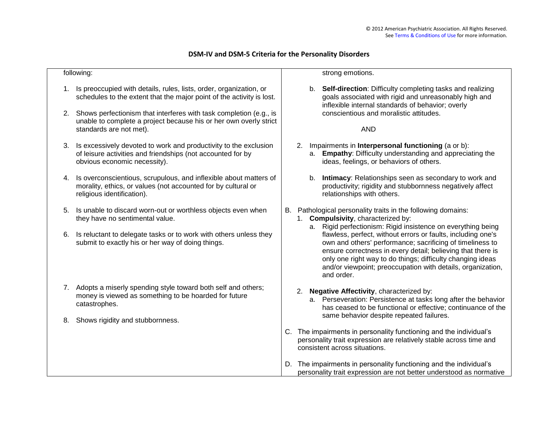|    | following:                                                                                                                                                            |    | strong emotions.                                                                                                                                                                                                                                                                                                                    |
|----|-----------------------------------------------------------------------------------------------------------------------------------------------------------------------|----|-------------------------------------------------------------------------------------------------------------------------------------------------------------------------------------------------------------------------------------------------------------------------------------------------------------------------------------|
|    | Is preoccupied with details, rules, lists, order, organization, or<br>schedules to the extent that the major point of the activity is lost.                           |    | b. Self-direction: Difficulty completing tasks and realizing<br>goals associated with rigid and unreasonably high and<br>inflexible internal standards of behavior; overly                                                                                                                                                          |
|    | 2. Shows perfectionism that interferes with task completion (e.g., is<br>unable to complete a project because his or her own overly strict<br>standards are not met). |    | conscientious and moralistic attitudes.<br><b>AND</b>                                                                                                                                                                                                                                                                               |
| 3. | Is excessively devoted to work and productivity to the exclusion<br>of leisure activities and friendships (not accounted for by<br>obvious economic necessity).       | 2. | Impairments in Interpersonal functioning (a or b):<br>a. Empathy: Difficulty understanding and appreciating the<br>ideas, feelings, or behaviors of others.                                                                                                                                                                         |
| 4. | Is overconscientious, scrupulous, and inflexible about matters of<br>morality, ethics, or values (not accounted for by cultural or<br>religious identification).      |    | Intimacy: Relationships seen as secondary to work and<br>b.<br>productivity; rigidity and stubbornness negatively affect<br>relationships with others.                                                                                                                                                                              |
| 5. | Is unable to discard worn-out or worthless objects even when<br>they have no sentimental value.                                                                       |    | B. Pathological personality traits in the following domains:<br>1. Compulsivity, characterized by:<br>Rigid perfectionism: Rigid insistence on everything being<br>а.                                                                                                                                                               |
| 6. | Is reluctant to delegate tasks or to work with others unless they<br>submit to exactly his or her way of doing things.                                                |    | flawless, perfect, without errors or faults, including one's<br>own and others' performance; sacrificing of timeliness to<br>ensure correctness in every detail; believing that there is<br>only one right way to do things; difficulty changing ideas<br>and/or viewpoint; preoccupation with details, organization,<br>and order. |
|    | 7. Adopts a miserly spending style toward both self and others;<br>money is viewed as something to be hoarded for future<br>catastrophes.                             |    | 2. Negative Affectivity, characterized by:<br>a. Perseveration: Persistence at tasks long after the behavior<br>has ceased to be functional or effective; continuance of the                                                                                                                                                        |
| 8. | Shows rigidity and stubbornness.                                                                                                                                      |    | same behavior despite repeated failures.                                                                                                                                                                                                                                                                                            |
|    |                                                                                                                                                                       |    | C. The impairments in personality functioning and the individual's<br>personality trait expression are relatively stable across time and<br>consistent across situations.                                                                                                                                                           |
|    |                                                                                                                                                                       |    | D. The impairments in personality functioning and the individual's<br>personality trait expression are not better understood as normative                                                                                                                                                                                           |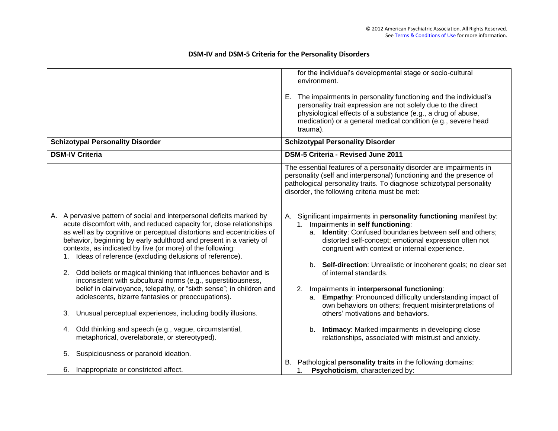|                        |                                                                                                                                                                                                                                                                                                                                                                                                                                                                                                                                                                                                                                                                                          |          | for the individual's developmental stage or socio-cultural<br>environment.<br>E. The impairments in personality functioning and the individual's<br>personality trait expression are not solely due to the direct<br>physiological effects of a substance (e.g., a drug of abuse,<br>medication) or a general medical condition (e.g., severe head<br>trauma).                                                                                                                                                                                     |
|------------------------|------------------------------------------------------------------------------------------------------------------------------------------------------------------------------------------------------------------------------------------------------------------------------------------------------------------------------------------------------------------------------------------------------------------------------------------------------------------------------------------------------------------------------------------------------------------------------------------------------------------------------------------------------------------------------------------|----------|----------------------------------------------------------------------------------------------------------------------------------------------------------------------------------------------------------------------------------------------------------------------------------------------------------------------------------------------------------------------------------------------------------------------------------------------------------------------------------------------------------------------------------------------------|
|                        | <b>Schizotypal Personality Disorder</b>                                                                                                                                                                                                                                                                                                                                                                                                                                                                                                                                                                                                                                                  |          | <b>Schizotypal Personality Disorder</b>                                                                                                                                                                                                                                                                                                                                                                                                                                                                                                            |
| <b>DSM-IV Criteria</b> |                                                                                                                                                                                                                                                                                                                                                                                                                                                                                                                                                                                                                                                                                          |          | DSM-5 Criteria - Revised June 2011                                                                                                                                                                                                                                                                                                                                                                                                                                                                                                                 |
|                        |                                                                                                                                                                                                                                                                                                                                                                                                                                                                                                                                                                                                                                                                                          |          | The essential features of a personality disorder are impairments in<br>personality (self and interpersonal) functioning and the presence of<br>pathological personality traits. To diagnose schizotypal personality<br>disorder, the following criteria must be met:                                                                                                                                                                                                                                                                               |
| 1.<br>2.               | A. A pervasive pattern of social and interpersonal deficits marked by<br>acute discomfort with, and reduced capacity for, close relationships<br>as well as by cognitive or perceptual distortions and eccentricities of<br>behavior, beginning by early adulthood and present in a variety of<br>contexts, as indicated by five (or more) of the following:<br>Ideas of reference (excluding delusions of reference).<br>Odd beliefs or magical thinking that influences behavior and is<br>inconsistent with subcultural norms (e.g., superstitiousness,<br>belief in clairvoyance, telepathy, or "sixth sense"; in children and<br>adolescents, bizarre fantasies or preoccupations). | А.<br>2. | Significant impairments in personality functioning manifest by:<br>1. Impairments in self functioning:<br>a. Identity: Confused boundaries between self and others;<br>distorted self-concept; emotional expression often not<br>congruent with context or internal experience.<br>b. Self-direction: Unrealistic or incoherent goals; no clear set<br>of internal standards.<br>Impairments in interpersonal functioning:<br>a. Empathy: Pronounced difficulty understanding impact of<br>own behaviors on others; frequent misinterpretations of |
| 3.                     | Unusual perceptual experiences, including bodily illusions.                                                                                                                                                                                                                                                                                                                                                                                                                                                                                                                                                                                                                              |          | others' motivations and behaviors.                                                                                                                                                                                                                                                                                                                                                                                                                                                                                                                 |
|                        | 4. Odd thinking and speech (e.g., vague, circumstantial,<br>metaphorical, overelaborate, or stereotyped).                                                                                                                                                                                                                                                                                                                                                                                                                                                                                                                                                                                |          | b. Intimacy: Marked impairments in developing close<br>relationships, associated with mistrust and anxiety.                                                                                                                                                                                                                                                                                                                                                                                                                                        |
| 5.                     | Suspiciousness or paranoid ideation.                                                                                                                                                                                                                                                                                                                                                                                                                                                                                                                                                                                                                                                     |          |                                                                                                                                                                                                                                                                                                                                                                                                                                                                                                                                                    |
| 6.                     | Inappropriate or constricted affect.                                                                                                                                                                                                                                                                                                                                                                                                                                                                                                                                                                                                                                                     |          | B. Pathological personality traits in the following domains:<br>1. Psychoticism, characterized by:                                                                                                                                                                                                                                                                                                                                                                                                                                                 |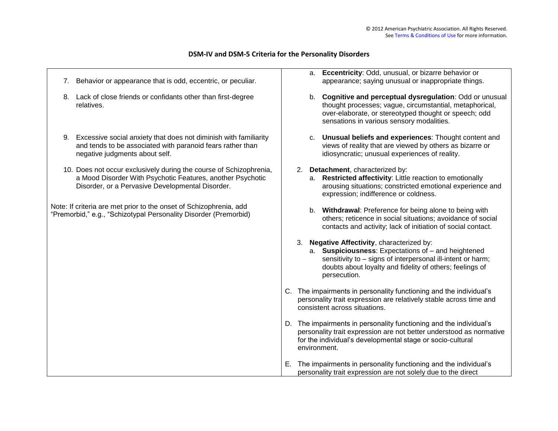| 7. | Behavior or appearance that is odd, eccentric, or peculiar.                                                                                                                          |  | a. Eccentricity: Odd, unusual, or bizarre behavior or<br>appearance; saying unusual or inappropriate things.                                                                                                                                 |
|----|--------------------------------------------------------------------------------------------------------------------------------------------------------------------------------------|--|----------------------------------------------------------------------------------------------------------------------------------------------------------------------------------------------------------------------------------------------|
|    | 8. Lack of close friends or confidants other than first-degree<br>relatives.                                                                                                         |  | b. Cognitive and perceptual dysregulation: Odd or unusual<br>thought processes; vague, circumstantial, metaphorical,<br>over-elaborate, or stereotyped thought or speech; odd<br>sensations in various sensory modalities.                   |
| 9. | Excessive social anxiety that does not diminish with familiarity<br>and tends to be associated with paranoid fears rather than<br>negative judgments about self.                     |  | c. Unusual beliefs and experiences: Thought content and<br>views of reality that are viewed by others as bizarre or<br>idiosyncratic; unusual experiences of reality.                                                                        |
|    | 10. Does not occur exclusively during the course of Schizophrenia,<br>a Mood Disorder With Psychotic Features, another Psychotic<br>Disorder, or a Pervasive Developmental Disorder. |  | 2. Detachment, characterized by:<br>a. Restricted affectivity: Little reaction to emotionally<br>arousing situations; constricted emotional experience and<br>expression; indifference or coldness.                                          |
|    | Note: If criteria are met prior to the onset of Schizophrenia, add<br>"Premorbid," e.g., "Schizotypal Personality Disorder (Premorbid)                                               |  | b. Withdrawal: Preference for being alone to being with<br>others; reticence in social situations; avoidance of social<br>contacts and activity; lack of initiation of social contact.                                                       |
|    |                                                                                                                                                                                      |  | 3. Negative Affectivity, characterized by:<br>a. Suspiciousness: Expectations of - and heightened<br>sensitivity to - signs of interpersonal ill-intent or harm;<br>doubts about loyalty and fidelity of others; feelings of<br>persecution. |
|    |                                                                                                                                                                                      |  | C. The impairments in personality functioning and the individual's<br>personality trait expression are relatively stable across time and<br>consistent across situations.                                                                    |
|    |                                                                                                                                                                                      |  | D. The impairments in personality functioning and the individual's<br>personality trait expression are not better understood as normative<br>for the individual's developmental stage or socio-cultural<br>environment.                      |
|    |                                                                                                                                                                                      |  | E. The impairments in personality functioning and the individual's<br>personality trait expression are not solely due to the direct                                                                                                          |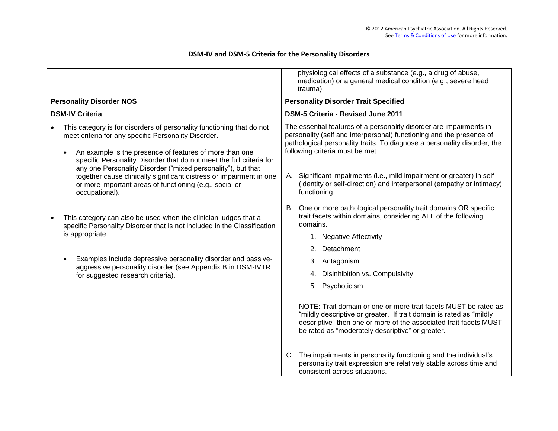|                                                                                                                                                                                                                                                                                                                                                                                                                                                                    | physiological effects of a substance (e.g., a drug of abuse,<br>medication) or a general medical condition (e.g., severe head<br>trauma).                                                                                                                                                                                                                                                                                                       |  |  |  |  |
|--------------------------------------------------------------------------------------------------------------------------------------------------------------------------------------------------------------------------------------------------------------------------------------------------------------------------------------------------------------------------------------------------------------------------------------------------------------------|-------------------------------------------------------------------------------------------------------------------------------------------------------------------------------------------------------------------------------------------------------------------------------------------------------------------------------------------------------------------------------------------------------------------------------------------------|--|--|--|--|
| <b>Personality Disorder NOS</b>                                                                                                                                                                                                                                                                                                                                                                                                                                    | <b>Personality Disorder Trait Specified</b>                                                                                                                                                                                                                                                                                                                                                                                                     |  |  |  |  |
| <b>DSM-IV Criteria</b>                                                                                                                                                                                                                                                                                                                                                                                                                                             | <b>DSM-5 Criteria - Revised June 2011</b>                                                                                                                                                                                                                                                                                                                                                                                                       |  |  |  |  |
| This category is for disorders of personality functioning that do not<br>meet criteria for any specific Personality Disorder.<br>An example is the presence of features of more than one<br>specific Personality Disorder that do not meet the full criteria for<br>any one Personality Disorder ("mixed personality"), but that<br>together cause clinically significant distress or impairment in one<br>or more important areas of functioning (e.g., social or | The essential features of a personality disorder are impairments in<br>personality (self and interpersonal) functioning and the presence of<br>pathological personality traits. To diagnose a personality disorder, the<br>following criteria must be met:<br>Significant impairments (i.e., mild impairment or greater) in self<br>А.<br>(identity or self-direction) and interpersonal (empathy or intimacy)<br>functioning.                  |  |  |  |  |
| occupational).<br>This category can also be used when the clinician judges that a<br>specific Personality Disorder that is not included in the Classification<br>is appropriate.<br>Examples include depressive personality disorder and passive-<br>aggressive personality disorder (see Appendix B in DSM-IVTR<br>for suggested research criteria).                                                                                                              | One or more pathological personality trait domains OR specific<br>В.<br>trait facets within domains, considering ALL of the following<br>domains.<br><b>Negative Affectivity</b><br>1.<br>Detachment<br>2.<br>Antagonism<br>3.<br>Disinhibition vs. Compulsivity<br>4.<br>Psychoticism<br>5.                                                                                                                                                    |  |  |  |  |
|                                                                                                                                                                                                                                                                                                                                                                                                                                                                    | NOTE: Trait domain or one or more trait facets MUST be rated as<br>"mildly descriptive or greater. If trait domain is rated as "mildly<br>descriptive" then one or more of the associated trait facets MUST<br>be rated as "moderately descriptive" or greater.<br>The impairments in personality functioning and the individual's<br>C.<br>personality trait expression are relatively stable across time and<br>consistent across situations. |  |  |  |  |